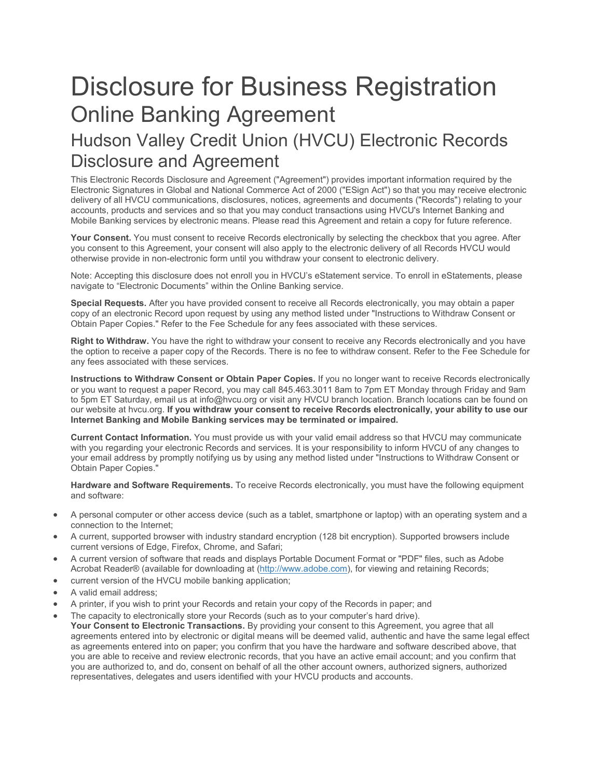# Disclosure for Business Registration Online Banking Agreement

# Hudson Valley Credit Union (HVCU) Electronic Records Disclosure and Agreement

This Electronic Records Disclosure and Agreement ("Agreement") provides important information required by the Electronic Signatures in Global and National Commerce Act of 2000 ("ESign Act") so that you may receive electronic delivery of all HVCU communications, disclosures, notices, agreements and documents ("Records") relating to your accounts, products and services and so that you may conduct transactions using HVCU's Internet Banking and Mobile Banking services by electronic means. Please read this Agreement and retain a copy for future reference.

 **Your Consent.** You must consent to receive Records electronically by selecting the checkbox that you agree. After you consent to this Agreement, your consent will also apply to the electronic delivery of all Records HVCU would otherwise provide in non-electronic form until you withdraw your consent to electronic delivery.

Note: Accepting this disclosure does not enroll you in HVCU's eStatement service. To enroll in eStatements, please navigate to "Electronic Documents" within the Online Banking service.

**Special Requests.** After you have provided consent to receive all Records electronically, you may obtain a paper copy of an electronic Record upon request by using any method listed under "Instructions to Withdraw Consent or Obtain Paper Copies." Refer to the Fee Schedule for any fees associated with these services.

 **Right to Withdraw.** You have the right to withdraw your consent to receive any Records electronically and you have the option to receive a paper copy of the Records. There is no fee to withdraw consent. Refer to the Fee Schedule for any fees associated with these services.

 **Instructions to Withdraw Consent or Obtain Paper Copies.** If you no longer want to receive Records electronically  our website at hvcu.org. **If you withdraw your consent to receive Records electronically, your ability to use our Internet Banking and Mobile Banking services may be terminated or impaired.**  or you want to request a paper Record, you may call 845.463.3011 8am to 7pm ET Monday through Friday and 9am to 5pm ET Saturday, email us at info@hvcu.org or visit any HVCU branch location. Branch locations can be found on

 **Current Contact Information.** You must provide us with your valid email address so that HVCU may communicate with you regarding your electronic Records and services. It is your responsibility to inform HVCU of any changes to your email address by promptly notifying us by using any method listed under "Instructions to Withdraw Consent or Obtain Paper Copies."

 **Hardware and Software Requirements.** To receive Records electronically, you must have the following equipment and software:

- A personal computer or other access device (such as a tablet, smartphone or laptop) with an operating system and a connection to the Internet;
- A current, supported browser with industry standard encryption (128 bit encryption). Supported browsers include current versions of Edge, Firefox, Chrome, and Safari;
- A current version of software that reads and displays Portable Document Format or "PDF" files, such as Adobe Acrobat Reader® (available for downloading at [\(http://www.adobe.com\)](http://www.adobe.com/), for viewing and retaining Records;
- current version of the HVCU mobile banking application;
- A valid email address:
- A printer, if you wish to print your Records and retain your copy of the Records in paper; and
- **Your Consent to Electronic Transactions.** By providing your consent to this Agreement, you agree that all agreements entered into by electronic or digital means will be deemed valid, authentic and have the same legal effect as agreements entered into on paper; you confirm that you have the hardware and software described above, that you are authorized to, and do, consent on behalf of all the other account owners, authorized signers, authorized representatives, delegates and users identified with your HVCU products and accounts. The capacity to electronically store your Records (such as to your computer's hard drive). you are able to receive and review electronic records, that you have an active email account; and you confirm that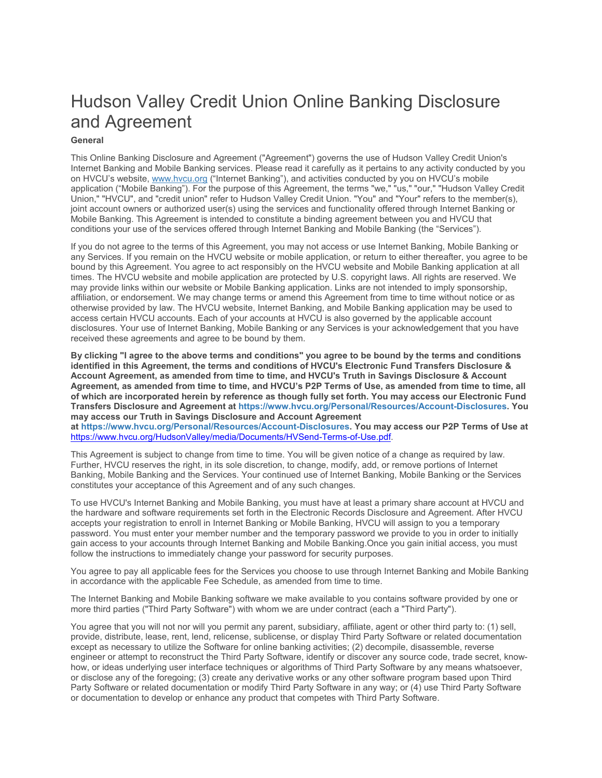# Hudson Valley Credit Union Online Banking Disclosure and Agreement

# **General**

 application ("Mobile Banking"). For the purpose of this Agreement, the terms "we," "us," "our," "Hudson Valley Credit This Online Banking Disclosure and Agreement ("Agreement") governs the use of Hudson Valley Credit Union's Internet Banking and Mobile Banking services. Please read it carefully as it pertains to any activity conducted by you on HVCU's website[, www.hvcu.org](http://www.hvcu.org/) ("Internet Banking"), and activities conducted by you on HVCU's mobile Union," "HVCU", and "credit union" refer to Hudson Valley Credit Union. "You" and "Your" refers to the member(s), joint account owners or authorized user(s) using the services and functionality offered through Internet Banking or Mobile Banking. This Agreement is intended to constitute a binding agreement between you and HVCU that conditions your use of the services offered through Internet Banking and Mobile Banking (the "Services").

 bound by this Agreement. You agree to act responsibly on the HVCU website and Mobile Banking application at all times. The HVCU website and mobile application are protected by U.S. copyright laws. All rights are reserved. We affiliation, or endorsement. We may change terms or amend this Agreement from time to time without notice or as If you do not agree to the terms of this Agreement, you may not access or use Internet Banking, Mobile Banking or any Services. If you remain on the HVCU website or mobile application, or return to either thereafter, you agree to be may provide links within our website or Mobile Banking application. Links are not intended to imply sponsorship, otherwise provided by law. The HVCU website, Internet Banking, and Mobile Banking application may be used to access certain HVCU accounts. Each of your accounts at HVCU is also governed by the applicable account disclosures. Your use of Internet Banking, Mobile Banking or any Services is your acknowledgement that you have received these agreements and agree to be bound by them.

 **By clicking "I agree to the above terms and conditions" you agree to be bound by the terms and conditions identified in this Agreement, the terms and conditions of HVCU's Electronic Fund Transfers Disclosure & Account Agreement, as amended from time to time, and HVCU's Truth in Savings Disclosure & Account Agreement, as amended from time to time, and HVCU's P2P Terms of Use, as amended from time to time, all of which are incorporated herein by reference as though fully set forth. You may access our Electronic Fund Transfers Disclosure and Agreement a[t https://www.hvcu.org/Personal/Resources/Account-Disclosures.](https://www.hvcu.org/Personal/Resources/Account-Disclosures) You may access our Truth in Savings Disclosure and Account Agreement** 

 **a[t https://www.hvcu.org/Personal/Resources/Account-Disclosures.](https://www.hvcu.org/Personal/Resources/Account-Disclosures) You may access our P2P Terms of Use at**  [https://www.hvcu.org/HudsonValley/media/Documents/HVSend-Terms-of-Use.pdf.](https://www.hvcu.org/HudsonValley/media/Documents/HVSend-Terms-of-Use.pdf)

 Further, HVCU reserves the right, in its sole discretion, to change, modify, add, or remove portions of Internet This Agreement is subject to change from time to time. You will be given notice of a change as required by law. Banking, Mobile Banking and the Services. Your continued use of Internet Banking, Mobile Banking or the Services constitutes your acceptance of this Agreement and of any such changes.

To use HVCU's Internet Banking and Mobile Banking, you must have at least a primary share account at HVCU and the hardware and software requirements set forth in the Electronic Records Disclosure and Agreement. After HVCU accepts your registration to enroll in Internet Banking or Mobile Banking, HVCU will assign to you a temporary password. You must enter your member number and the temporary password we provide to you in order to initially gain access to your accounts through Internet Banking and Mobile Banking.Once you gain initial access, you must follow the instructions to immediately change your password for security purposes.

You agree to pay all applicable fees for the Services you choose to use through Internet Banking and Mobile Banking in accordance with the applicable Fee Schedule, as amended from time to time.

The Internet Banking and Mobile Banking software we make available to you contains software provided by one or more third parties ("Third Party Software") with whom we are under contract (each a "Third Party").

 You agree that you will not nor will you permit any parent, subsidiary, affiliate, agent or other third party to: (1) sell, provide, distribute, lease, rent, lend, relicense, sublicense, or display Third Party Software or related documentation except as necessary to utilize the Software for online banking activities; (2) decompile, disassemble, reverse engineer or attempt to reconstruct the Third Party Software, identify or discover any source code, trade secret, knowhow, or ideas underlying user interface techniques or algorithms of Third Party Software by any means whatsoever, or disclose any of the foregoing; (3) create any derivative works or any other software program based upon Third Party Software or related documentation or modify Third Party Software in any way; or (4) use Third Party Software or documentation to develop or enhance any product that competes with Third Party Software.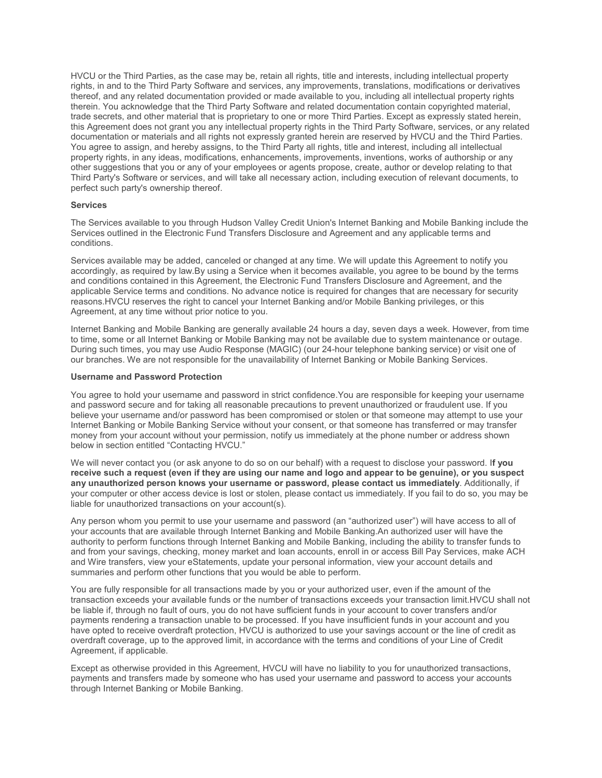HVCU or the Third Parties, as the case may be, retain all rights, title and interests, including intellectual property rights, in and to the Third Party Software and services, any improvements, translations, modifications or derivatives trade secrets, and other material that is proprietary to one or more Third Parties. Except as expressly stated herein, documentation or materials and all rights not expressly granted herein are reserved by HVCU and the Third Parties. other suggestions that you or any of your employees or agents propose, create, author or develop relating to that thereof, and any related documentation provided or made available to you, including all intellectual property rights therein. You acknowledge that the Third Party Software and related documentation contain copyrighted material, this Agreement does not grant you any intellectual property rights in the Third Party Software, services, or any related You agree to assign, and hereby assigns, to the Third Party all rights, title and interest, including all intellectual property rights, in any ideas, modifications, enhancements, improvements, inventions, works of authorship or any Third Party's Software or services, and will take all necessary action, including execution of relevant documents, to perfect such party's ownership thereof.

#### **Services**

 The Services available to you through Hudson Valley Credit Union's Internet Banking and Mobile Banking include the Services outlined in the Electronic Fund Transfers Disclosure and Agreement and any applicable terms and conditions.

 Services available may be added, canceled or changed at any time. We will update this Agreement to notify you applicable Service terms and conditions. No advance notice is required for changes that are necessary for security reasons.HVCU reserves the right to cancel your Internet Banking and/or Mobile Banking privileges, or this accordingly, as required by law.By using a Service when it becomes available, you agree to be bound by the terms and conditions contained in this Agreement, the Electronic Fund Transfers Disclosure and Agreement, and the Agreement, at any time without prior notice to you.

 Internet Banking and Mobile Banking are generally available 24 hours a day, seven days a week. However, from time to time, some or all Internet Banking or Mobile Banking may not be available due to system maintenance or outage. During such times, you may use Audio Response (MAGIC) (our 24-hour telephone banking service) or visit one of our branches. We are not responsible for the unavailability of Internet Banking or Mobile Banking Services.

## **Username and Password Protection**

 and password secure and for taking all reasonable precautions to prevent unauthorized or fraudulent use. If you believe your username and/or password has been compromised or stolen or that someone may attempt to use your You agree to hold your username and password in strict confidence.You are responsible for keeping your username Internet Banking or Mobile Banking Service without your consent, or that someone has transferred or may transfer money from your account without your permission, notify us immediately at the phone number or address shown below in section entitled "Contacting HVCU."

 We will never contact you (or ask anyone to do so on our behalf) with a request to disclose your password. I**f you receive such a request (even if they are using our name and logo and appear to be genuine), or you suspect any unauthorized person knows your username or password, please contact us immediately**. Additionally, if your computer or other access device is lost or stolen, please contact us immediately. If you fail to do so, you may be liable for unauthorized transactions on your account(s).

 Any person whom you permit to use your username and password (an "authorized user") will have access to all of and from your savings, checking, money market and loan accounts, enroll in or access Bill Pay Services, make ACH summaries and perform other functions that you would be able to perform. your accounts that are available through Internet Banking and Mobile Banking.An authorized user will have the authority to perform functions through Internet Banking and Mobile Banking, including the ability to transfer funds to and Wire transfers, view your eStatements, update your personal information, view your account details and

 payments rendering a transaction unable to be processed. If you have insufficient funds in your account and you have opted to receive overdraft protection, HVCU is authorized to use your savings account or the line of credit as You are fully responsible for all transactions made by you or your authorized user, even if the amount of the transaction exceeds your available funds or the number of transactions exceeds your transaction limit.HVCU shall not be liable if, through no fault of ours, you do not have sufficient funds in your account to cover transfers and/or overdraft coverage, up to the approved limit, in accordance with the terms and conditions of your Line of Credit Agreement, if applicable.

 payments and transfers made by someone who has used your username and password to access your accounts Except as otherwise provided in this Agreement, HVCU will have no liability to you for unauthorized transactions, through Internet Banking or Mobile Banking.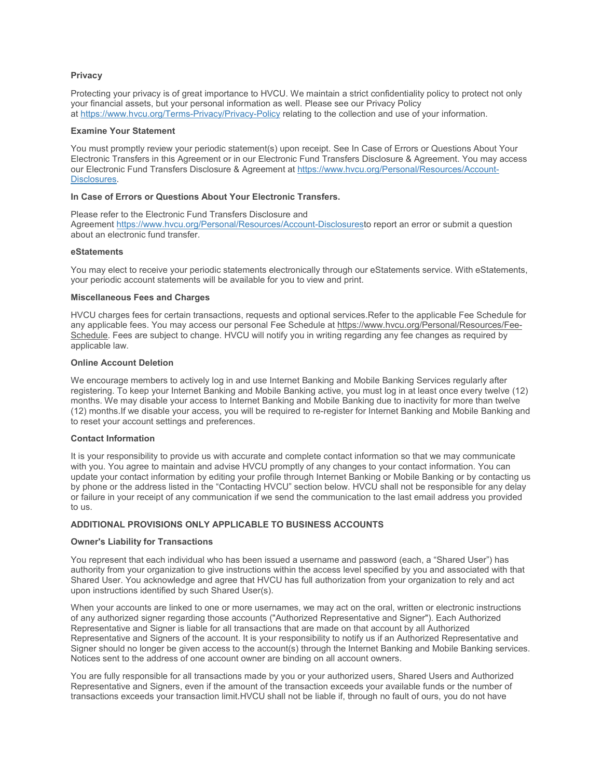#### **Privacy**

 Protecting your privacy is of great importance to HVCU. We maintain a strict confidentiality policy to protect not only your financial assets, but your personal information as well. Please see our Privacy Policy at<https://www.hvcu.org/Terms-Privacy/Privacy-Policy>relating to the collection and use of your information.

#### **Examine Your Statement**

You must promptly review your periodic statement(s) upon receipt. See In Case of Errors or Questions About Your Electronic Transfers in this Agreement or in our Electronic Fund Transfers Disclosure & Agreement. You may access our Electronic Fund Transfers Disclosure & Agreement a[t https://www.hvcu.org/Personal/Resources/Account-](https://www.hvcu.org/Personal/Resources/Account-Disclosures)[Disclosures.](https://www.hvcu.org/Personal/Resources/Account-Disclosures)

#### **In Case of Errors or Questions About Your Electronic Transfers.**

 about an electronic fund transfer. Please refer to the Electronic Fund Transfers Disclosure and Agreemen[t https://www.hvcu.org/Personal/Resources/Account-Disclosurest](https://www.hvcu.org/Personal/Resources/Account-Disclosures)o report an error or submit a question

#### **eStatements**

 You may elect to receive your periodic statements electronically through our eStatements service. With eStatements, your periodic account statements will be available for you to view and print.

#### **Miscellaneous Fees and Charges**

 HVCU charges fees for certain transactions, requests and optional services.Refer to the applicable Fee Schedule for any applicable fees. You may access our personal Fee Schedule at https://www.hvcu.org/Personal/Resources/Fee-Schedule. Fees are subject to change. HVCU will notify you in writing regarding any fee changes as required by applicable law.

#### **Online Account Deletion**

 months. We may disable your access to Internet Banking and Mobile Banking due to inactivity for more than twelve We encourage members to actively log in and use Internet Banking and Mobile Banking Services regularly after registering. To keep your Internet Banking and Mobile Banking active, you must log in at least once every twelve (12) (12) months.If we disable your access, you will be required to re-register for Internet Banking and Mobile Banking and to reset your account settings and preferences.

#### **Contact Information**

 with you. You agree to maintain and advise HVCU promptly of any changes to your contact information. You can update your contact information by editing your profile through Internet Banking or Mobile Banking or by contacting us by phone or the address listed in the "Contacting HVCU" section below. HVCU shall not be responsible for any delay It is your responsibility to provide us with accurate and complete contact information so that we may communicate or failure in your receipt of any communication if we send the communication to the last email address you provided to us.

#### **ADDITIONAL PROVISIONS ONLY APPLICABLE TO BUSINESS ACCOUNTS**

#### **Owner's Liability for Transactions**

You represent that each individual who has been issued a username and password (each, a "Shared User") has authority from your organization to give instructions within the access level specified by you and associated with that Shared User. You acknowledge and agree that HVCU has full authorization from your organization to rely and act upon instructions identified by such Shared User(s).

 Representative and Signer is liable for all transactions that are made on that account by all Authorized When your accounts are linked to one or more usernames, we may act on the oral, written or electronic instructions of any authorized signer regarding those accounts ("Authorized Representative and Signer"). Each Authorized Representative and Signers of the account. It is your responsibility to notify us if an Authorized Representative and Signer should no longer be given access to the account(s) through the Internet Banking and Mobile Banking services. Notices sent to the address of one account owner are binding on all account owners.

You are fully responsible for all transactions made by you or your authorized users, Shared Users and Authorized Representative and Signers, even if the amount of the transaction exceeds your available funds or the number of transactions exceeds your transaction limit.HVCU shall not be liable if, through no fault of ours, you do not have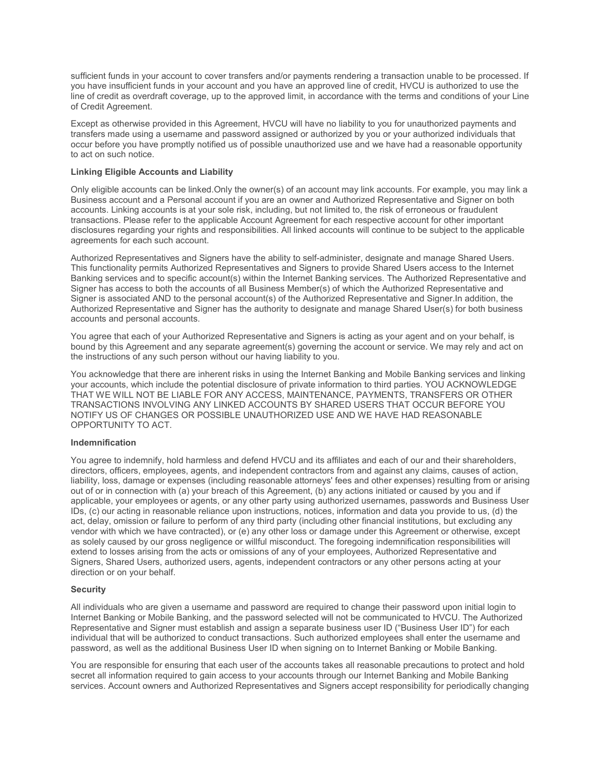sufficient funds in your account to cover transfers and/or payments rendering a transaction unable to be processed. If you have insufficient funds in your account and you have an approved line of credit, HVCU is authorized to use the line of credit as overdraft coverage, up to the approved limit, in accordance with the terms and conditions of your Line of Credit Agreement.

Except as otherwise provided in this Agreement, HVCU will have no liability to you for unauthorized payments and transfers made using a username and password assigned or authorized by you or your authorized individuals that occur before you have promptly notified us of possible unauthorized use and we have had a reasonable opportunity to act on such notice.

# **Linking Eligible Accounts and Liability**

 Only eligible accounts can be linked.Only the owner(s) of an account may link accounts. For example, you may link a Business account and a Personal account if you are an owner and Authorized Representative and Signer on both accounts. Linking accounts is at your sole risk, including, but not limited to, the risk of erroneous or fraudulent transactions. Please refer to the applicable Account Agreement for each respective account for other important disclosures regarding your rights and responsibilities. All linked accounts will continue to be subject to the applicable agreements for each such account.

 Signer has access to both the accounts of all Business Member(s) of which the Authorized Representative and Signer is associated AND to the personal account(s) of the Authorized Representative and Signer.In addition, the Authorized Representatives and Signers have the ability to self-administer, designate and manage Shared Users. This functionality permits Authorized Representatives and Signers to provide Shared Users access to the Internet Banking services and to specific account(s) within the Internet Banking services. The Authorized Representative and Authorized Representative and Signer has the authority to designate and manage Shared User(s) for both business accounts and personal accounts.

 bound by this Agreement and any separate agreement(s) governing the account or service. We may rely and act on You agree that each of your Authorized Representative and Signers is acting as your agent and on your behalf, is the instructions of any such person without our having liability to you.

 THAT WE WILL NOT BE LIABLE FOR ANY ACCESS, MAINTENANCE, PAYMENTS, TRANSFERS OR OTHER You acknowledge that there are inherent risks in using the Internet Banking and Mobile Banking services and linking your accounts, which include the potential disclosure of private information to third parties. YOU ACKNOWLEDGE TRANSACTIONS INVOLVING ANY LINKED ACCOUNTS BY SHARED USERS THAT OCCUR BEFORE YOU NOTIFY US OF CHANGES OR POSSIBLE UNAUTHORIZED USE AND WE HAVE HAD REASONABLE OPPORTUNITY TO ACT.

#### **Indemnification**

 You agree to indemnify, hold harmless and defend HVCU and its affiliates and each of our and their shareholders, directors, officers, employees, agents, and independent contractors from and against any claims, causes of action, liability, loss, damage or expenses (including reasonable attorneys' fees and other expenses) resulting from or arising applicable, your employees or agents, or any other party using authorized usernames, passwords and Business User IDs, (c) our acting in reasonable reliance upon instructions, notices, information and data you provide to us, (d) the act, delay, omission or failure to perform of any third party (including other financial institutions, but excluding any vendor with which we have contracted), or (e) any other loss or damage under this Agreement or otherwise, except as solely caused by our gross negligence or willful misconduct. The foregoing indemnification responsibilities will out of or in connection with (a) your breach of this Agreement, (b) any actions initiated or caused by you and if extend to losses arising from the acts or omissions of any of your employees, Authorized Representative and Signers, Shared Users, authorized users, agents, independent contractors or any other persons acting at your direction or on your behalf.

#### **Security**

All individuals who are given a username and password are required to change their password upon initial login to Internet Banking or Mobile Banking, and the password selected will not be communicated to HVCU. The Authorized Representative and Signer must establish and assign a separate business user ID ("Business User ID") for each individual that will be authorized to conduct transactions. Such authorized employees shall enter the username and password, as well as the additional Business User ID when signing on to Internet Banking or Mobile Banking.

You are responsible for ensuring that each user of the accounts takes all reasonable precautions to protect and hold secret all information required to gain access to your accounts through our Internet Banking and Mobile Banking services. Account owners and Authorized Representatives and Signers accept responsibility for periodically changing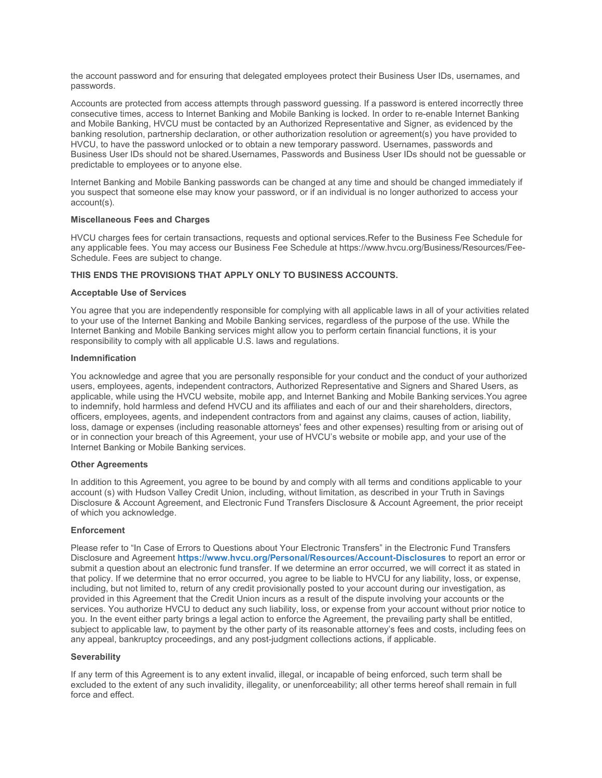the account password and for ensuring that delegated employees protect their Business User IDs, usernames, and passwords.

 Business User IDs should not be shared.Usernames, Passwords and Business User IDs should not be guessable or Accounts are protected from access attempts through password guessing. If a password is entered incorrectly three consecutive times, access to Internet Banking and Mobile Banking is locked. In order to re-enable Internet Banking and Mobile Banking, HVCU must be contacted by an Authorized Representative and Signer, as evidenced by the banking resolution, partnership declaration, or other authorization resolution or agreement(s) you have provided to HVCU, to have the password unlocked or to obtain a new temporary password. Usernames, passwords and predictable to employees or to anyone else.

Internet Banking and Mobile Banking passwords can be changed at any time and should be changed immediately if you suspect that someone else may know your password, or if an individual is no longer authorized to access your account(s).

#### **Miscellaneous Fees and Charges**

 HVCU charges fees for certain transactions, requests and optional services.Refer to the Business Fee Schedule for any applicable fees. You may access our Business Fee Schedule at https://www.hvcu.org/Business/Resources/Fee-Schedule. Fees are subject to change.

# **THIS ENDS THE PROVISIONS THAT APPLY ONLY TO BUSINESS ACCOUNTS.**

#### **Acceptable Use of Services**

 to your use of the Internet Banking and Mobile Banking services, regardless of the purpose of the use. While the You agree that you are independently responsible for complying with all applicable laws in all of your activities related Internet Banking and Mobile Banking services might allow you to perform certain financial functions, it is your responsibility to comply with all applicable U.S. laws and regulations.

#### **Indemnification**

 You acknowledge and agree that you are personally responsible for your conduct and the conduct of your authorized users, employees, agents, independent contractors, Authorized Representative and Signers and Shared Users, as to indemnify, hold harmless and defend HVCU and its affiliates and each of our and their shareholders, directors, officers, employees, agents, and independent contractors from and against any claims, causes of action, liability, or in connection your breach of this Agreement, your use of HVCU's website or mobile app, and your use of the applicable, while using the HVCU website, mobile app, and Internet Banking and Mobile Banking services.You agree loss, damage or expenses (including reasonable attorneys' fees and other expenses) resulting from or arising out of Internet Banking or Mobile Banking services.

#### **Other Agreements**

 account (s) with Hudson Valley Credit Union, including, without limitation, as described in your Truth in Savings In addition to this Agreement, you agree to be bound by and comply with all terms and conditions applicable to your Disclosure & Account Agreement, and Electronic Fund Transfers Disclosure & Account Agreement, the prior receipt of which you acknowledge.

#### **Enforcement**

 including, but not limited to, return of any credit provisionally posted to your account during our investigation, as services. You authorize HVCU to deduct any such liability, loss, or expense from your account without prior notice to Please refer to "In Case of Errors to Questions about Your Electronic Transfers" in the Electronic Fund Transfers Disclosure and Agreement **<https://www.hvcu.org/Personal/Resources/Account-Disclosures>**to report an error or submit a question about an electronic fund transfer. If we determine an error occurred, we will correct it as stated in that policy. If we determine that no error occurred, you agree to be liable to HVCU for any liability, loss, or expense, provided in this Agreement that the Credit Union incurs as a result of the dispute involving your accounts or the you. In the event either party brings a legal action to enforce the Agreement, the prevailing party shall be entitled, subject to applicable law, to payment by the other party of its reasonable attorney's fees and costs, including fees on any appeal, bankruptcy proceedings, and any post-judgment collections actions, if applicable.

#### **Severability**

If any term of this Agreement is to any extent invalid, illegal, or incapable of being enforced, such term shall be excluded to the extent of any such invalidity, illegality, or unenforceability; all other terms hereof shall remain in full force and effect.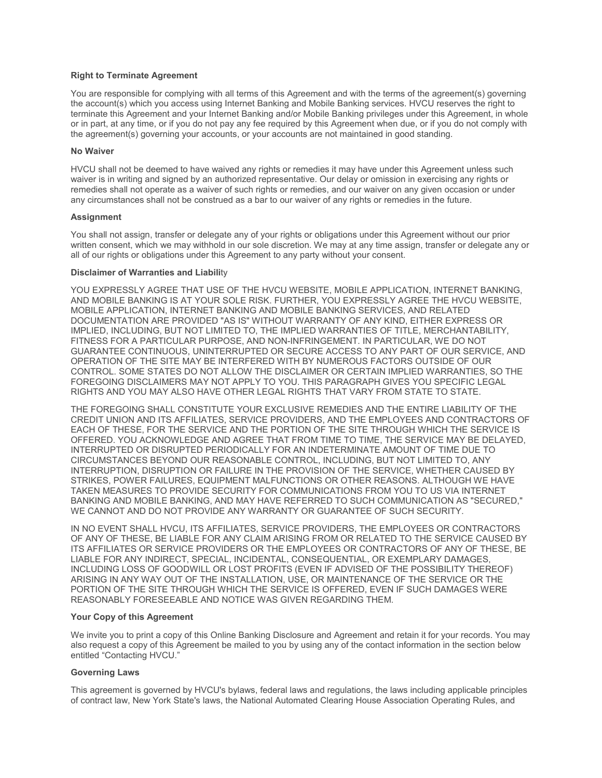# **Right to Terminate Agreement**

 the agreement(s) governing your accounts, or your accounts are not maintained in good standing. You are responsible for complying with all terms of this Agreement and with the terms of the agreement(s) governing the account(s) which you access using Internet Banking and Mobile Banking services. HVCU reserves the right to terminate this Agreement and your Internet Banking and/or Mobile Banking privileges under this Agreement, in whole or in part, at any time, or if you do not pay any fee required by this Agreement when due, or if you do not comply with

#### **No Waiver**

HVCU shall not be deemed to have waived any rights or remedies it may have under this Agreement unless such waiver is in writing and signed by an authorized representative. Our delay or omission in exercising any rights or remedies shall not operate as a waiver of such rights or remedies, and our waiver on any given occasion or under any circumstances shall not be construed as a bar to our waiver of any rights or remedies in the future.

#### **Assignment**

You shall not assign, transfer or delegate any of your rights or obligations under this Agreement without our prior written consent, which we may withhold in our sole discretion. We may at any time assign, transfer or delegate any or all of our rights or obligations under this Agreement to any party without your consent.

# **Disclaimer of Warranties and Liabili**ty

 YOU EXPRESSLY AGREE THAT USE OF THE HVCU WEBSITE, MOBILE APPLICATION, INTERNET BANKING, AND MOBILE BANKING IS AT YOUR SOLE RISK. FURTHER, YOU EXPRESSLY AGREE THE HVCU WEBSITE, DOCUMENTATION ARE PROVIDED "AS IS" WITHOUT WARRANTY OF ANY KIND, EITHER EXPRESS OR FOREGOING DISCLAIMERS MAY NOT APPLY TO YOU. THIS PARAGRAPH GIVES YOU SPECIFIC LEGAL MOBILE APPLICATION, INTERNET BANKING AND MOBILE BANKING SERVICES, AND RELATED IMPLIED, INCLUDING, BUT NOT LIMITED TO, THE IMPLIED WARRANTIES OF TITLE, MERCHANTABILITY, FITNESS FOR A PARTICULAR PURPOSE, AND NON-INFRINGEMENT. IN PARTICULAR, WE DO NOT GUARANTEE CONTINUOUS, UNINTERRUPTED OR SECURE ACCESS TO ANY PART OF OUR SERVICE, AND OPERATION OF THE SITE MAY BE INTERFERED WITH BY NUMEROUS FACTORS OUTSIDE OF OUR CONTROL. SOME STATES DO NOT ALLOW THE DISCLAIMER OR CERTAIN IMPLIED WARRANTIES, SO THE

RIGHTS AND YOU MAY ALSO HAVE OTHER LEGAL RIGHTS THAT VARY FROM STATE TO STATE.<br>THE FOREGOING SHALL CONSTITUTE YOUR EXCLUSIVE REMEDIES AND THE ENTIRE LIABILITY OF THE INTERRUPTED OR DISRUPTED PERIODICALLY FOR AN INDETERMINATE AMOUNT OF TIME DUE TO CREDIT UNION AND ITS AFFILIATES, SERVICE PROVIDERS, AND THE EMPLOYEES AND CONTRACTORS OF EACH OF THESE, FOR THE SERVICE AND THE PORTION OF THE SITE THROUGH WHICH THE SERVICE IS OFFERED. YOU ACKNOWLEDGE AND AGREE THAT FROM TIME TO TIME, THE SERVICE MAY BE DELAYED, CIRCUMSTANCES BEYOND OUR REASONABLE CONTROL, INCLUDING, BUT NOT LIMITED TO, ANY INTERRUPTION, DISRUPTION OR FAILURE IN THE PROVISION OF THE SERVICE, WHETHER CAUSED BY STRIKES, POWER FAILURES, EQUIPMENT MALFUNCTIONS OR OTHER REASONS. ALTHOUGH WE HAVE TAKEN MEASURES TO PROVIDE SECURITY FOR COMMUNICATIONS FROM YOU TO US VIA INTERNET BANKING AND MOBILE BANKING, AND MAY HAVE REFERRED TO SUCH COMMUNICATION AS "SECURED," WE CANNOT AND DO NOT PROVIDE ANY WARRANTY OR GUARANTEE OF SUCH SECURITY.

 OF ANY OF THESE, BE LIABLE FOR ANY CLAIM ARISING FROM OR RELATED TO THE SERVICE CAUSED BY ARISING IN ANY WAY OUT OF THE INSTALLATION, USE, OR MAINTENANCE OF THE SERVICE OR THE IN NO EVENT SHALL HVCU, ITS AFFILIATES, SERVICE PROVIDERS, THE EMPLOYEES OR CONTRACTORS ITS AFFILIATES OR SERVICE PROVIDERS OR THE EMPLOYEES OR CONTRACTORS OF ANY OF THESE, BE LIABLE FOR ANY INDIRECT, SPECIAL, INCIDENTAL, CONSEQUENTIAL, OR EXEMPLARY DAMAGES, INCLUDING LOSS OF GOODWILL OR LOST PROFITS (EVEN IF ADVISED OF THE POSSIBILITY THEREOF) PORTION OF THE SITE THROUGH WHICH THE SERVICE IS OFFERED, EVEN IF SUCH DAMAGES WERE REASONABLY FORESEEABLE AND NOTICE WAS GIVEN REGARDING THEM.

#### **Your Copy of this Agreement**

We invite you to print a copy of this Online Banking Disclosure and Agreement and retain it for your records. You may also request a copy of this Agreement be mailed to you by using any of the contact information in the section below entitled "Contacting HVCU."

#### **Governing Laws**

This agreement is governed by HVCU's bylaws, federal laws and regulations, the laws including applicable principles of contract law, New York State's laws, the National Automated Clearing House Association Operating Rules, and